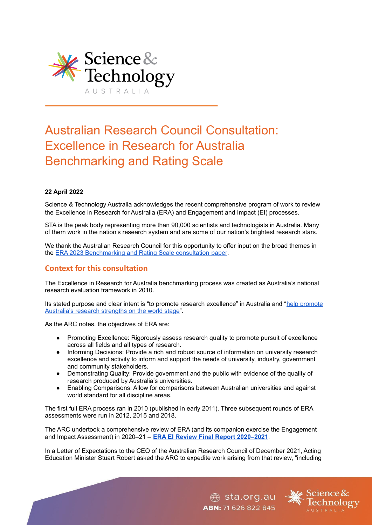

# Australian Research Council Consultation: Excellence in Research for Australia Benchmarking and Rating Scale

# **22 April 2022**

Science & Technology Australia acknowledges the recent comprehensive program of work to review the Excellence in Research for Australia (ERA) and Engagement and Impact (EI) processes.

STA is the peak body representing more than 90,000 scientists and technologists in Australia. Many of them work in the nation's research system and are some of our nation's brightest research stars.

We thank the Australian Research Council for this opportunity to offer input on the broad themes in the ERA 2023 [Benchmarking](https://www.arc.gov.au/excellence-research-australia/era-2023) and Rating Scale consultation paper.

# **Context for this consultation**

The Excellence in Research for Australia benchmarking process was created as Australia's national research evaluation framework in 2010.

Its stated purpose and clear intent is "to [promote](https://www.arc.gov.au/excellence-research-australia) research excellence" in Australia and "help promote [Australia's](https://www.arc.gov.au/excellence-research-australia) research strengths on the world stage".

As the ARC notes, the objectives of ERA are:

- Promoting Excellence: Rigorously assess research quality to promote pursuit of excellence across all fields and all types of research.
- Informing Decisions: Provide a rich and robust source of information on university research excellence and activity to inform and support the needs of university, industry, government and community stakeholders.
- Demonstrating Quality: Provide government and the public with evidence of the quality of research produced by Australia's universities.
- Enabling Comparisons: Allow for comparisons between Australian universities and against world standard for all discipline areas.

The first full ERA process ran in 2010 (published in early 2011). Three subsequent rounds of ERA assessments were run in 2012, 2015 and 2018.

The ARC undertook a comprehensive review of ERA (and its companion exercise the Engagement and Impact Assessment) in 2020–21 – **ERA EI Review Final Report [2020–2021](https://www.arc.gov.au/file/12022/download?token=M1zSgd5Y)**.

In a Letter of Expectations to the CEO of the Australian Research Council of December 2021, Acting Education Minister Stuart Robert asked the ARC to expedite work arising from that review, "including

ABN: 71 626 822 845

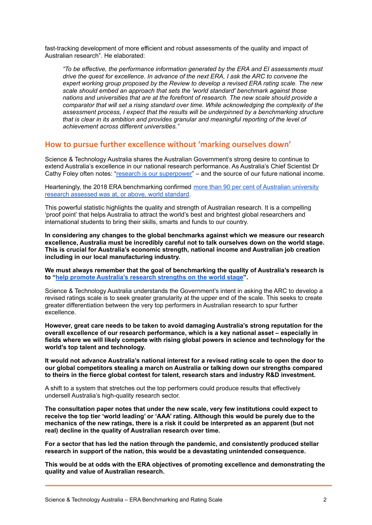fast-tracking development of more efficient and robust assessments of the quality and impact of Australian research". He elaborated:

*"To be effective, the performance information generated by the ERA and EI assessments must drive the quest for excellence. In advance of the next ERA, I ask the ARC to convene the expert working group proposed by the Review to develop a revised ERA rating scale. The new scale should embed an approach that sets the 'world standard' benchmark against those nations and universities that are at the forefront of research. The new scale should provide a comparator that will set a rising standard over time. While acknowledging the complexity of the assessment process, I expect that the results will be underpinned by a benchmarking structure that is clear in its ambition and provides granular and meaningful reporting of the level of achievement across different universities."*

# **How to pursue further excellence without 'marking ourselves down'**

Science & Technology Australia shares the Australian Government's strong desire to continue to extend Australia's excellence in our national research performance. As Australia's Chief Scientist Dr Cathy Foley often notes: "research is our [superpower"](https://www.zdnet.com/article/australias-chief-scientist-wants-to-make-academic-research-publicly-available/) – and the source of our future national income.

Hearteningly, the 2018 ERA benchmarking confirmed more than 90 per cent of [Australian](https://www.universitiesaustralia.edu.au/policy-submissions/research-innovations/research-excellence-impact/) university research [assessed](https://www.universitiesaustralia.edu.au/policy-submissions/research-innovations/research-excellence-impact/) was at, or above, world standard.

This powerful statistic highlights the quality and strength of Australian research. It is a compelling 'proof point' that helps Australia to attract the world's best and brightest global researchers and international students to bring their skills, smarts and funds to our country.

**In considering any changes to the global benchmarks against which we measure our research excellence, Australia must be incredibly careful not to talk ourselves down on the world stage. This is crucial for Australia's economic strength, national income and Australian job creation including in our local manufacturing industry.**

**We must always remember that the goal of benchmarking the quality of Australia's research is to "help promote [Australia's](https://www.arc.gov.au/excellence-research-australia) research strengths on the world stage".**

Science & Technology Australia understands the Government's intent in asking the ARC to develop a revised ratings scale is to seek greater granularity at the upper end of the scale. This seeks to create greater differentiation between the very top performers in Australian research to spur further excellence.

**However, great care needs to be taken to avoid damaging Australia's strong reputation for the overall excellence of our research performance, which is a key national asset – especially in fields where we will likely compete with rising global powers in science and technology for the world's top talent and technology.**

**It would not advance Australia's national interest for a revised rating scale to open the door to our global competitors stealing a march on Australia or talking down our strengths compared to theirs in the fierce global contest for talent, research stars and industry R&D investment.**

A shift to a system that stretches out the top performers could produce results that effectively undersell Australia's high-quality research sector.

**The consultation paper notes that under the new scale, very few institutions could expect to receive the top tier 'world leading' or 'AAA' rating. Although this would be purely due to the mechanics of the new ratings, there is a risk it could be interpreted as an apparent (but not real) decline in the quality of Australian research over time.**

**For a sector that has led the nation through the pandemic, and consistently produced stellar research in support of the nation, this would be a devastating unintended consequence.**

**This would be at odds with the ERA objectives of promoting excellence and demonstrating the quality and value of Australian research.**